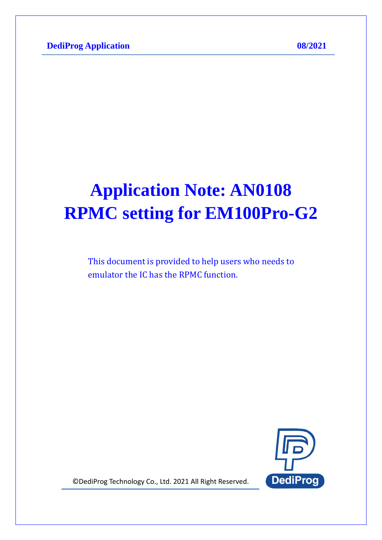# **Application Note: AN0108 RPMC setting for EM100Pro-G2**

This document is provided to help users who needs to emulator the IC has the RPMC function.



© DediProg Technology Co., Ltd. 2021 All Right Reserved.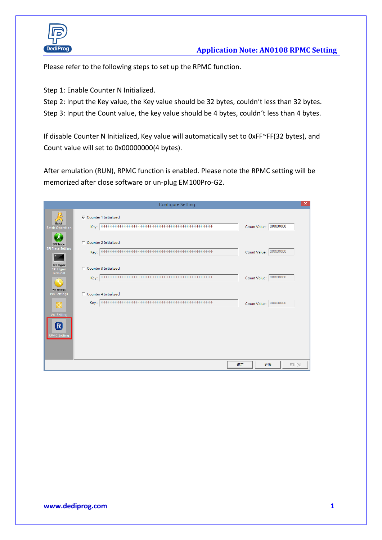

Please refer to the following steps to set up the RPMC function.

Step 1: Enable Counter N Initialized.

Step 2: Input the Key value, the Key value should be 32 bytes, couldn't less than 32 bytes. Step 3: Input the Count value, the key value should be 4 bytes, couldn't less than 4 bytes.

If disable Counter N Initialized, Key value will automatically set to 0xFF~FF(32 bytes), and Count value will set to 0x00000000(4 bytes).

After emulation (RUN), RPMC function is enabled. Please note the RPMC setting will be memorized after close software or un-plug EM100Pro-G2.

|                                              | <b>Configure Setting</b>       | $\times$               |
|----------------------------------------------|--------------------------------|------------------------|
| $\breve{\tilde{\mathbf{x}}}$<br><b>Batch</b> | <b>▽</b> Counter 1 Initialized | Count Value : 00000000 |
| <b>Batch Operation</b>                       |                                |                        |
| <b>SPI Trace</b><br><b>SPI Trace Setting</b> | □ Counter 2 Initialized        |                        |
| ≥.<br>SPI Hyper                              | Key:                           | Count Value : 00000000 |
| SPI Hyper<br>Terminal                        | $\Box$ Counter 3 Initialized   |                        |
| <b>Pin Settings</b>                          | Key:                           | Count Value : 00000000 |
| <b>Pin Settings</b>                          | □ Counter 4 Initialized        |                        |
| 器                                            | Key:                           | Count Value : 00000000 |
| <b>Vcc Setting</b><br>R<br>PMC Setting       |                                |                        |
|                                              |                                |                        |
|                                              |                                | 取消<br>套用(A)<br>確定      |